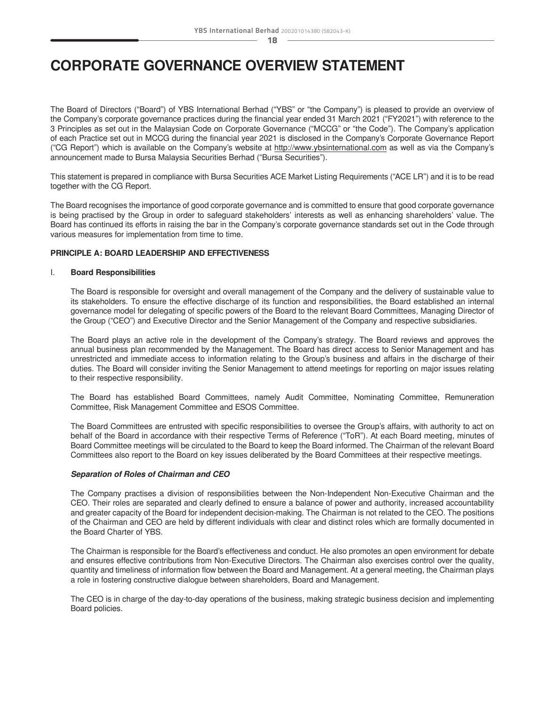# **CORPORATE GOVERNANCE OVERVIEW STATEMENT**

The Board of Directors ("Board") of YBS International Berhad ("YBS" or "the Company") is pleased to provide an overview of the Company's corporate governance practices during the financial year ended 31 March 2021 ("FY2021") with reference to the 3 Principles as set out in the Malaysian Code on Corporate Governance ("MCCG" or "the Code"). The Company's application of each Practice set out in MCCG during the financial year 2021 is disclosed in the Company's Corporate Governance Report ("CG Report") which is available on the Company's website at http://www.ybsinternational.com as well as via the Company's announcement made to Bursa Malaysia Securities Berhad ("Bursa Securities").

This statement is prepared in compliance with Bursa Securities ACE Market Listing Requirements ("ACE LR") and it is to be read together with the CG Report.

The Board recognises the importance of good corporate governance and is committed to ensure that good corporate governance is being practised by the Group in order to safeguard stakeholders' interests as well as enhancing shareholders' value. The Board has continued its efforts in raising the bar in the Company's corporate governance standards set out in the Code through various measures for implementation from time to time.

### **PRINCIPLE A: BOARD LEADERSHIP AND EFFECTIVENESS**

#### I. **Board Responsibilities**

The Board is responsible for oversight and overall management of the Company and the delivery of sustainable value to its stakeholders. To ensure the effective discharge of its function and responsibilities, the Board established an internal governance model for delegating of specific powers of the Board to the relevant Board Committees, Managing Director of the Group ("CEO") and Executive Director and the Senior Management of the Company and respective subsidiaries.

The Board plays an active role in the development of the Company's strategy. The Board reviews and approves the annual business plan recommended by the Management. The Board has direct access to Senior Management and has unrestricted and immediate access to information relating to the Group's business and affairs in the discharge of their duties. The Board will consider inviting the Senior Management to attend meetings for reporting on major issues relating to their respective responsibility.

The Board has established Board Committees, namely Audit Committee, Nominating Committee, Remuneration Committee, Risk Management Committee and ESOS Committee.

The Board Committees are entrusted with specific responsibilities to oversee the Group's affairs, with authority to act on behalf of the Board in accordance with their respective Terms of Reference ("ToR"). At each Board meeting, minutes of Board Committee meetings will be circulated to the Board to keep the Board informed. The Chairman of the relevant Board Committees also report to the Board on key issues deliberated by the Board Committees at their respective meetings.

# *Separation of Roles of Chairman and CEO*

The Company practises a division of responsibilities between the Non-Independent Non-Executive Chairman and the CEO. Their roles are separated and clearly defined to ensure a balance of power and authority, increased accountability and greater capacity of the Board for independent decision-making. The Chairman is not related to the CEO. The positions of the Chairman and CEO are held by different individuals with clear and distinct roles which are formally documented in the Board Charter of YBS.

The Chairman is responsible for the Board's effectiveness and conduct. He also promotes an open environment for debate and ensures effective contributions from Non-Executive Directors. The Chairman also exercises control over the quality, quantity and timeliness of information flow between the Board and Management. At a general meeting, the Chairman plays a role in fostering constructive dialogue between shareholders, Board and Management.

The CEO is in charge of the day-to-day operations of the business, making strategic business decision and implementing Board policies.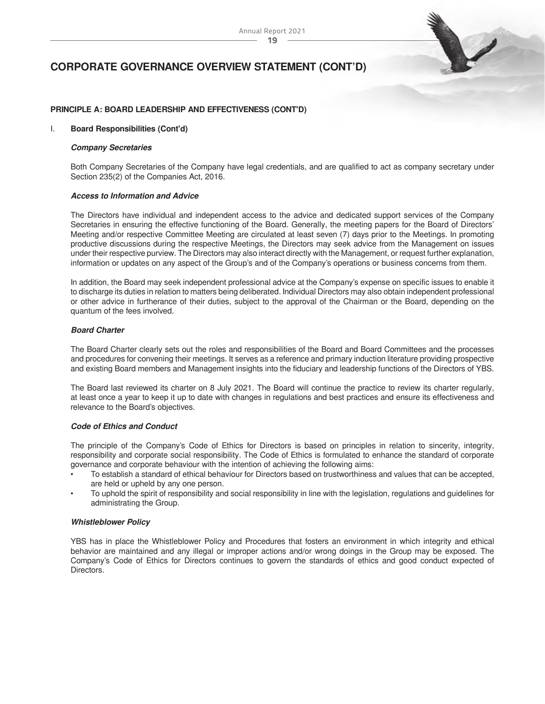

### **PRINCIPLE A: BOARD LEADERSHIP AND EFFECTIVENESS (CONT'D)**

#### I. **Board Responsibilities (Cont'd)**

#### *Company Secretaries*

Both Company Secretaries of the Company have legal credentials, and are qualified to act as company secretary under Section 235(2) of the Companies Act, 2016.

#### *Access to Information and Advice*

The Directors have individual and independent access to the advice and dedicated support services of the Company Secretaries in ensuring the effective functioning of the Board. Generally, the meeting papers for the Board of Directors' Meeting and/or respective Committee Meeting are circulated at least seven (7) days prior to the Meetings. In promoting productive discussions during the respective Meetings, the Directors may seek advice from the Management on issues under their respective purview. The Directors may also interact directly with the Management, or request further explanation, information or updates on any aspect of the Group's and of the Company's operations or business concerns from them.

In addition, the Board may seek independent professional advice at the Company's expense on specific issues to enable it to discharge its duties in relation to matters being deliberated. Individual Directors may also obtain independent professional or other advice in furtherance of their duties, subject to the approval of the Chairman or the Board, depending on the quantum of the fees involved.

#### *Board Charter*

The Board Charter clearly sets out the roles and responsibilities of the Board and Board Committees and the processes and procedures for convening their meetings. It serves as a reference and primary induction literature providing prospective and existing Board members and Management insights into the fiduciary and leadership functions of the Directors of YBS.

The Board last reviewed its charter on 8 July 2021. The Board will continue the practice to review its charter regularly, at least once a year to keep it up to date with changes in regulations and best practices and ensure its effectiveness and relevance to the Board's objectives.

#### *Code of Ethics and Conduct*

The principle of the Company's Code of Ethics for Directors is based on principles in relation to sincerity, integrity, responsibility and corporate social responsibility. The Code of Ethics is formulated to enhance the standard of corporate governance and corporate behaviour with the intention of achieving the following aims:

- To establish a standard of ethical behaviour for Directors based on trustworthiness and values that can be accepted, are held or upheld by any one person.
- To uphold the spirit of responsibility and social responsibility in line with the legislation, regulations and guidelines for administrating the Group.

#### *Whistleblower Policy*

YBS has in place the Whistleblower Policy and Procedures that fosters an environment in which integrity and ethical behavior are maintained and any illegal or improper actions and/or wrong doings in the Group may be exposed. The Company's Code of Ethics for Directors continues to govern the standards of ethics and good conduct expected of Directors.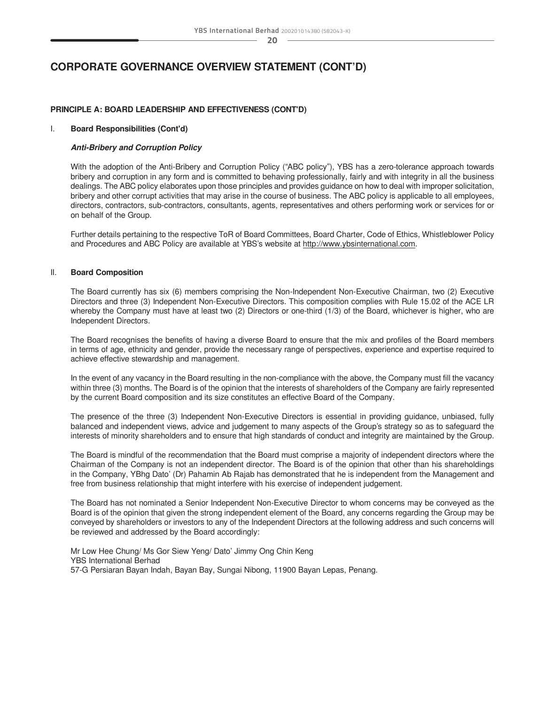# **CORPORATE GOVERNANCE OVERVIEW STATEMENT (CONT'D)**

### **PRINCIPLE A: BOARD LEADERSHIP AND EFFECTIVENESS (CONT'D)**

#### I. **Board Responsibilities (Cont'd)**

#### *Anti-Bribery and Corruption Policy*

With the adoption of the Anti-Bribery and Corruption Policy ("ABC policy"), YBS has a zero-tolerance approach towards bribery and corruption in any form and is committed to behaving professionally, fairly and with integrity in all the business dealings. The ABC policy elaborates upon those principles and provides guidance on how to deal with improper solicitation, bribery and other corrupt activities that may arise in the course of business. The ABC policy is applicable to all employees, directors, contractors, sub-contractors, consultants, agents, representatives and others performing work or services for or on behalf of the Group.

Further details pertaining to the respective ToR of Board Committees, Board Charter, Code of Ethics, Whistleblower Policy and Procedures and ABC Policy are available at YBS's website at [http://www.ybsinternational.com.](http://www.ybsinternational.com)

#### II. **Board Composition**

The Board currently has six (6) members comprising the Non-Independent Non-Executive Chairman, two (2) Executive Directors and three (3) Independent Non-Executive Directors. This composition complies with Rule 15.02 of the ACE LR whereby the Company must have at least two (2) Directors or one-third (1/3) of the Board, whichever is higher, who are Independent Directors.

The Board recognises the benefits of having a diverse Board to ensure that the mix and profiles of the Board members in terms of age, ethnicity and gender, provide the necessary range of perspectives, experience and expertise required to achieve effective stewardship and management.

In the event of any vacancy in the Board resulting in the non-compliance with the above, the Company must fill the vacancy within three (3) months. The Board is of the opinion that the interests of shareholders of the Company are fairly represented by the current Board composition and its size constitutes an effective Board of the Company.

The presence of the three (3) Independent Non-Executive Directors is essential in providing guidance, unbiased, fully balanced and independent views, advice and judgement to many aspects of the Group's strategy so as to safeguard the interests of minority shareholders and to ensure that high standards of conduct and integrity are maintained by the Group.

The Board is mindful of the recommendation that the Board must comprise a majority of independent directors where the Chairman of the Company is not an independent director. The Board is of the opinion that other than his shareholdings in the Company, YBhg Dato' (Dr) Pahamin Ab Rajab has demonstrated that he is independent from the Management and free from business relationship that might interfere with his exercise of independent judgement.

The Board has not nominated a Senior Independent Non-Executive Director to whom concerns may be conveyed as the Board is of the opinion that given the strong independent element of the Board, any concerns regarding the Group may be conveyed by shareholders or investors to any of the Independent Directors at the following address and such concerns will be reviewed and addressed by the Board accordingly:

Mr Low Hee Chung/ Ms Gor Siew Yeng/ Dato' Jimmy Ong Chin Keng YBS International Berhad 57-G Persiaran Bayan Indah, Bayan Bay, Sungai Nibong, 11900 Bayan Lepas, Penang.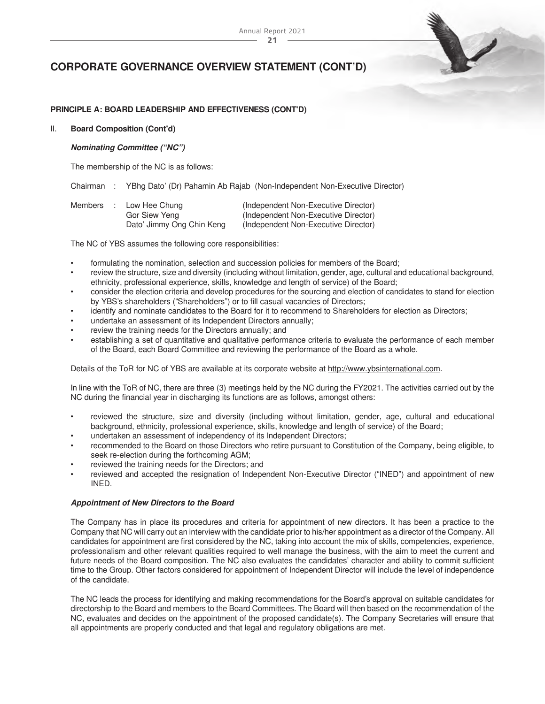#### **21** Annual Report 2021

# **CORPORATE GOVERNANCE OVERVIEW STATEMENT (CONT'D)**

### **PRINCIPLE A: BOARD LEADERSHIP AND EFFECTIVENESS (CONT'D)**

#### II. **Board Composition (Cont'd)**

#### *Nominating Committee ("NC")*

The membership of the NC is as follows:

Chairman : YBhg Dato' (Dr) Pahamin Ab Rajab (Non-Independent Non-Executive Director)

| Members : | Low Hee Chung             | (Independent Non-Executive Director) |
|-----------|---------------------------|--------------------------------------|
|           | Gor Siew Yeng             | (Independent Non-Executive Director) |
|           | Dato' Jimmy Ong Chin Keng | (Independent Non-Executive Director) |

The NC of YBS assumes the following core responsibilities:

- formulating the nomination, selection and succession policies for members of the Board;
- review the structure, size and diversity (including without limitation, gender, age, cultural and educational background, ethnicity, professional experience, skills, knowledge and length of service) of the Board;
- consider the election criteria and develop procedures for the sourcing and election of candidates to stand for election by YBS's shareholders ("Shareholders") or to fill casual vacancies of Directors;
- identify and nominate candidates to the Board for it to recommend to Shareholders for election as Directors;
- undertake an assessment of its Independent Directors annually;
- review the training needs for the Directors annually; and
- establishing a set of quantitative and qualitative performance criteria to evaluate the performance of each member of the Board, each Board Committee and reviewing the performance of the Board as a whole.

Details of the ToR for NC of YBS are available at its corporate website at [http://www.ybsinternational.com.](http://www.ybsinternational.com/)

In line with the ToR of NC, there are three (3) meetings held by the NC during the FY2021. The activities carried out by the NC during the financial year in discharging its functions are as follows, amongst others:

- reviewed the structure, size and diversity (including without limitation, gender, age, cultural and educational background, ethnicity, professional experience, skills, knowledge and length of service) of the Board;
- undertaken an assessment of independency of its Independent Directors;
- recommended to the Board on those Directors who retire pursuant to Constitution of the Company, being eligible, to seek re-election during the forthcoming AGM;
- reviewed the training needs for the Directors; and
- reviewed and accepted the resignation of Independent Non-Executive Director ("INED") and appointment of new INED.

#### *Appointment of New Directors to the Board*

The Company has in place its procedures and criteria for appointment of new directors. It has been a practice to the Company that NC will carry out an interview with the candidate prior to his/her appointment as a director of the Company. All candidates for appointment are first considered by the NC, taking into account the mix of skills, competencies, experience, professionalism and other relevant qualities required to well manage the business, with the aim to meet the current and future needs of the Board composition. The NC also evaluates the candidates' character and ability to commit sufficient time to the Group. Other factors considered for appointment of Independent Director will include the level of independence of the candidate.

The NC leads the process for identifying and making recommendations for the Board's approval on suitable candidates for directorship to the Board and members to the Board Committees. The Board will then based on the recommendation of the NC, evaluates and decides on the appointment of the proposed candidate(s). The Company Secretaries will ensure that all appointments are properly conducted and that legal and regulatory obligations are met.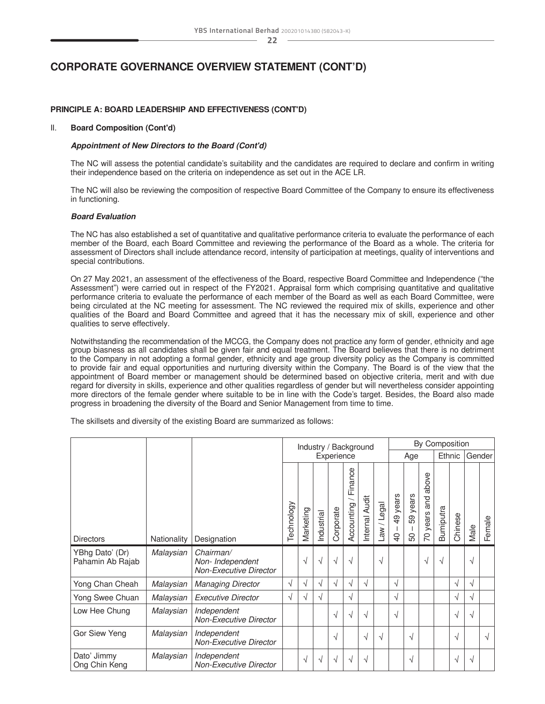# **CORPORATE GOVERNANCE OVERVIEW STATEMENT (CONT'D)**

### **PRINCIPLE A: BOARD LEADERSHIP AND EFFECTIVENESS (CONT'D)**

#### II. **Board Composition (Cont'd)**

#### *Appointment of New Directors to the Board (Cont'd)*

The NC will assess the potential candidate's suitability and the candidates are required to declare and confirm in writing their independence based on the criteria on independence as set out in the ACE LR.

The NC will also be reviewing the composition of respective Board Committee of the Company to ensure its effectiveness in functioning.

#### *Board Evaluation*

The NC has also established a set of quantitative and qualitative performance criteria to evaluate the performance of each member of the Board, each Board Committee and reviewing the performance of the Board as a whole. The criteria for assessment of Directors shall include attendance record, intensity of participation at meetings, quality of interventions and special contributions.

On 27 May 2021, an assessment of the effectiveness of the Board, respective Board Committee and Independence ("the Assessment") were carried out in respect of the FY2021. Appraisal form which comprising quantitative and qualitative performance criteria to evaluate the performance of each member of the Board as well as each Board Committee, were being circulated at the NC meeting for assessment. The NC reviewed the required mix of skills, experience and other qualities of the Board and Board Committee and agreed that it has the necessary mix of skill, experience and other qualities to serve effectively.

Notwithstanding the recommendation of the MCCG, the Company does not practice any form of gender, ethnicity and age group biasness as all candidates shall be given fair and equal treatment. The Board believes that there is no detriment to the Company in not adopting a formal gender, ethnicity and age group diversity policy as the Company is committed to provide fair and equal opportunities and nurturing diversity within the Company. The Board is of the view that the appointment of Board member or management should be determined based on objective criteria, merit and with due regard for diversity in skills, experience and other qualities regardless of gender but will nevertheless consider appointing more directors of the female gender where suitable to be in line with the Code's target. Besides, the Board also made progress in broadening the diversity of the Board and Senior Management from time to time.

The skillsets and diversity of the existing Board are summarized as follows:

|                                     |             |                                                         | Industry / Background |            |            |            | By Composition        |                |                  |                                           |                |                                         |                  |         |      |        |
|-------------------------------------|-------------|---------------------------------------------------------|-----------------------|------------|------------|------------|-----------------------|----------------|------------------|-------------------------------------------|----------------|-----------------------------------------|------------------|---------|------|--------|
|                                     |             |                                                         |                       | Experience |            |            |                       |                | Age              |                                           |                | Ethnic                                  |                  | Gender  |      |        |
| <b>Directors</b>                    | Nationality | Designation                                             | Technology            | Marketing  | Industrial | Corporate  | Finance<br>Accounting | Internal Audit | Legal<br>$M_{B}$ | years<br>$\overline{6}$<br>$\overline{Q}$ | 59 years<br>50 | above<br>and<br>years<br>$\overline{C}$ | <b>Bumiputra</b> | Chinese | Male | Female |
| YBhg Dato' (Dr)<br>Pahamin Ab Rajab | Malaysian   | Chairman/<br>Non- Independent<br>Non-Executive Director |                       | √          |            | $\sqrt{ }$ | √                     |                | √                |                                           |                | V                                       | $\sqrt{ }$       |         | √    |        |
| Yong Chan Cheah                     | Malaysian   | <b>Managing Director</b>                                | √                     | √          | N          | √          | √                     | √              |                  | √                                         |                |                                         |                  | √       | √    |        |
| Yong Swee Chuan                     | Malaysian   | <b>Executive Director</b>                               | √                     | √          | √          |            | √                     |                |                  | √                                         |                |                                         |                  | √       | V    |        |
| Low Hee Chung                       | Malaysian   | Independent<br><b>Non-Executive Director</b>            |                       |            |            | √          | √                     | √              |                  | √                                         |                |                                         |                  | √       | √    |        |
| Gor Siew Yeng                       | Malaysian   | Independent<br><b>Non-Executive Director</b>            |                       |            |            | √          |                       | $\sqrt{ }$     | √                |                                           | $\sim$         |                                         |                  | √       |      | √      |
| Dato' Jimmy<br>Ong Chin Keng        | Malaysian   | Independent<br><b>Non-Executive Director</b>            |                       | N          |            | $\sim$     | √                     | √              |                  |                                           | $\sim$         |                                         |                  | √       | √    |        |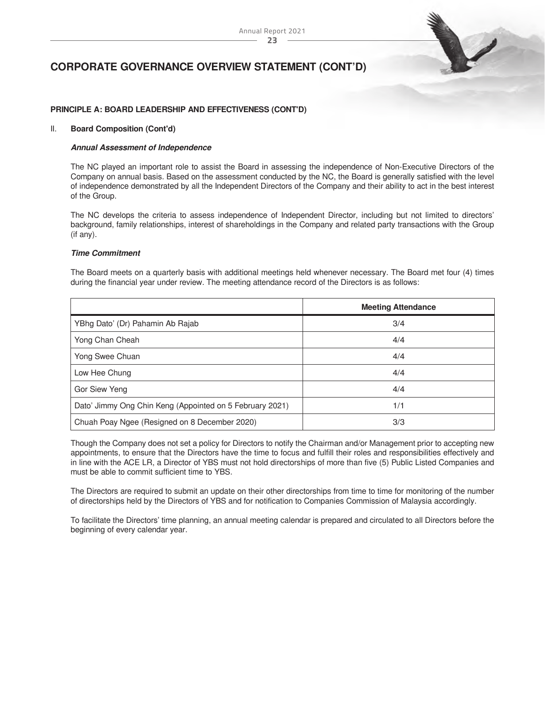

### **PRINCIPLE A: BOARD LEADERSHIP AND EFFECTIVENESS (CONT'D)**

#### II. **Board Composition (Cont'd)**

#### *Annual Assessment of Independence*

The NC played an important role to assist the Board in assessing the independence of Non-Executive Directors of the Company on annual basis. Based on the assessment conducted by the NC, the Board is generally satisfied with the level of independence demonstrated by all the Independent Directors of the Company and their ability to act in the best interest of the Group.

The NC develops the criteria to assess independence of Independent Director, including but not limited to directors' background, family relationships, interest of shareholdings in the Company and related party transactions with the Group (if any).

#### *Time Commitment*

The Board meets on a quarterly basis with additional meetings held whenever necessary. The Board met four (4) times during the financial year under review. The meeting attendance record of the Directors is as follows:

|                                                          | <b>Meeting Attendance</b> |
|----------------------------------------------------------|---------------------------|
| YBhg Dato' (Dr) Pahamin Ab Rajab                         | 3/4                       |
| Yong Chan Cheah                                          | 4/4                       |
| Yong Swee Chuan                                          | 4/4                       |
| Low Hee Chung                                            | 4/4                       |
| Gor Siew Yeng                                            | 4/4                       |
| Dato' Jimmy Ong Chin Keng (Appointed on 5 February 2021) | 1/1                       |
| Chuah Poay Ngee (Resigned on 8 December 2020)            | 3/3                       |

Though the Company does not set a policy for Directors to notify the Chairman and/or Management prior to accepting new appointments, to ensure that the Directors have the time to focus and fulfill their roles and responsibilities effectively and in line with the ACE LR, a Director of YBS must not hold directorships of more than five (5) Public Listed Companies and must be able to commit sufficient time to YBS.

The Directors are required to submit an update on their other directorships from time to time for monitoring of the number of directorships held by the Directors of YBS and for notification to Companies Commission of Malaysia accordingly.

To facilitate the Directors' time planning, an annual meeting calendar is prepared and circulated to all Directors before the beginning of every calendar year.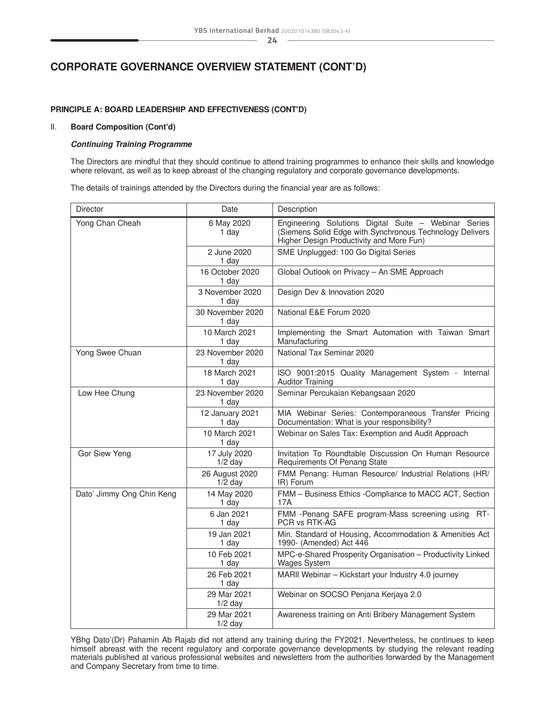# **CORPORATE GOVERNANCE OVERVIEW STATEMENT (CONT'D)**

## **PRINCIPLE A: BOARD LEADERSHIP AND EFFECTIVENESS (CONT'D)**

#### II. **Board Composition (Cont'd)**

#### *Continuing Training Programme*

The Directors are mindful that they should continue to attend training programmes to enhance their skills and knowledge where relevant, as well as to keep abreast of the changing regulatory and corporate governance developments.

The details of trainings attended by the Directors during the financial year are as follows:

| <b>Director</b>           | Date                        | Description                                                                                                                                                  |  |  |  |  |  |
|---------------------------|-----------------------------|--------------------------------------------------------------------------------------------------------------------------------------------------------------|--|--|--|--|--|
| Yong Chan Cheah           | 6 May 2020<br>1 day         | Engineering Solutions Digital Suite - Webinar Series<br>(Siemens Solid Edge with Synchronous Technology Delivers<br>Higher Design Productivity and More Fun) |  |  |  |  |  |
|                           | 2 June 2020<br>1 day        | SME Unplugged: 100 Go Digital Series                                                                                                                         |  |  |  |  |  |
|                           | 16 October 2020<br>1 day    | Global Outlook on Privacy - An SME Approach                                                                                                                  |  |  |  |  |  |
|                           | 3 November 2020<br>1 day    | Design Dev & Innovation 2020                                                                                                                                 |  |  |  |  |  |
|                           | 30 November 2020<br>1 day   | National E&E Forum 2020                                                                                                                                      |  |  |  |  |  |
|                           | 10 March 2021<br>1 day      | Implementing the Smart Automation with Taiwan Smart<br>Manufacturing                                                                                         |  |  |  |  |  |
| Yong Swee Chuan           | 23 November 2020<br>1 day   | National Tax Seminar 2020                                                                                                                                    |  |  |  |  |  |
|                           | 18 March 2021<br>1 day      | ISO 9001:2015 Quality Management System - Internal<br><b>Auditor Training</b>                                                                                |  |  |  |  |  |
| Low Hee Chung             | 23 November 2020<br>1 day   | Seminar Percukaian Kebangsaan 2020                                                                                                                           |  |  |  |  |  |
|                           | 12 January 2021<br>1 day    | MIA Webinar Series: Contemporaneous Transfer Pricing<br>Documentation: What is your responsibility?                                                          |  |  |  |  |  |
|                           | 10 March 2021<br>1 day      | Webinar on Sales Tax: Exemption and Audit Approach                                                                                                           |  |  |  |  |  |
| Gor Siew Yeng             | 17 July 2020<br>$1/2$ day   | Invitation To Roundtable Discussion On Human Resource<br>Requirements Of Penang State                                                                        |  |  |  |  |  |
|                           | 26 August 2020<br>$1/2$ day | FMM Penang: Human Resource/ Industrial Relations (HR/<br>IR) Forum                                                                                           |  |  |  |  |  |
| Dato' Jimmy Ong Chin Keng | 14 May 2020<br>1 day        | FMM - Business Ethics - Compliance to MACC ACT, Section<br>17A                                                                                               |  |  |  |  |  |
|                           | 6 Jan 2021<br>1 day         | FMM -Penang SAFE program-Mass screening using RT-<br>PCR vs RTK-AG                                                                                           |  |  |  |  |  |
|                           | 19 Jan 2021<br>1 day        | Min. Standard of Housing, Accommodation & Amenities Act<br>1990- (Amended) Act 446                                                                           |  |  |  |  |  |
|                           | 10 Feb 2021<br>1 day        | MPC-e-Shared Prosperity Organisation - Productivity Linked<br><b>Wages System</b>                                                                            |  |  |  |  |  |
|                           | 26 Feb 2021<br>1 day        | MARII Webinar - Kickstart your Industry 4.0 journey                                                                                                          |  |  |  |  |  |
|                           | 29 Mar 2021<br>$1/2$ day    | Webinar on SOCSO Penjana Kerjaya 2.0                                                                                                                         |  |  |  |  |  |
|                           | 29 Mar 2021<br>$1/2$ day    | Awareness training on Anti Bribery Management System                                                                                                         |  |  |  |  |  |

YBhg Dato'(Dr) Pahamin Ab Rajab did not attend any training during the FY2021. Nevertheless, he continues to keep himself abreast with the recent regulatory and corporate governance developments by studying the relevant reading materials published at various professional websites and newsletters from the authorities forwarded by the Management and Company Secretary from time to time.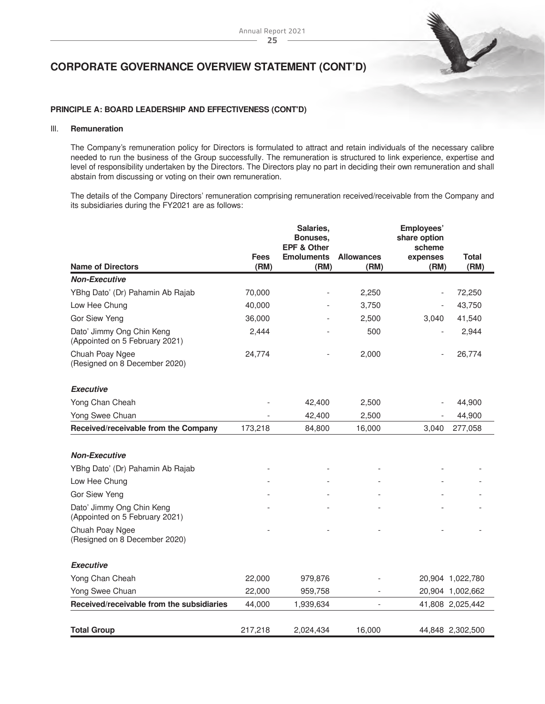

## **PRINCIPLE A: BOARD LEADERSHIP AND EFFECTIVENESS (CONT'D)**

### III. **Remuneration**

The Company's remuneration policy for Directors is formulated to attract and retain individuals of the necessary calibre needed to run the business of the Group successfully. The remuneration is structured to link experience, expertise and level of responsibility undertaken by the Directors. The Directors play no part in deciding their own remuneration and shall abstain from discussing or voting on their own remuneration.

The details of the Company Directors' remuneration comprising remuneration received/receivable from the Company and its subsidiaries during the FY2021 are as follows:

|                                                             | <b>Fees</b> | Salaries,<br>Bonuses.<br><b>EPF &amp; Other</b> | <b>Allowances</b> | Employees'<br>share option<br>scheme | <b>Total</b>     |
|-------------------------------------------------------------|-------------|-------------------------------------------------|-------------------|--------------------------------------|------------------|
| <b>Name of Directors</b>                                    | (RM)        | <b>Emoluments</b><br>(RM)                       | (RM)              | expenses<br>(RM)                     | (RM)             |
| <b>Non-Executive</b>                                        |             |                                                 |                   |                                      |                  |
| YBhg Dato' (Dr) Pahamin Ab Rajab                            | 70,000      |                                                 | 2,250             | $\overline{a}$                       | 72,250           |
| Low Hee Chung                                               | 40,000      |                                                 | 3,750             |                                      | 43,750           |
| Gor Siew Yeng                                               | 36,000      |                                                 | 2,500             | 3,040                                | 41,540           |
| Dato' Jimmy Ong Chin Keng<br>(Appointed on 5 February 2021) | 2,444       |                                                 | 500               |                                      | 2,944            |
| Chuah Poay Ngee<br>(Resigned on 8 December 2020)            | 24,774      |                                                 | 2,000             |                                      | 26,774           |
| <b>Executive</b>                                            |             |                                                 |                   |                                      |                  |
| Yong Chan Cheah                                             |             | 42,400                                          | 2,500             |                                      | 44,900           |
| Yong Swee Chuan                                             |             | 42,400                                          | 2,500             |                                      | 44,900           |
| Received/receivable from the Company                        | 173,218     | 84,800                                          | 16,000            | 3,040                                | 277,058          |
|                                                             |             |                                                 |                   |                                      |                  |
| <b>Non-Executive</b>                                        |             |                                                 |                   |                                      |                  |
| YBhg Dato' (Dr) Pahamin Ab Rajab                            |             |                                                 |                   |                                      |                  |
| Low Hee Chung                                               |             |                                                 |                   |                                      |                  |
| Gor Siew Yeng                                               |             |                                                 |                   |                                      |                  |
| Dato' Jimmy Ong Chin Keng<br>(Appointed on 5 February 2021) |             |                                                 |                   |                                      |                  |
| Chuah Poay Ngee<br>(Resigned on 8 December 2020)            |             |                                                 |                   |                                      |                  |
| <b>Executive</b>                                            |             |                                                 |                   |                                      |                  |
| Yong Chan Cheah                                             | 22,000      | 979,876                                         |                   |                                      | 20,904 1,022,780 |
| Yong Swee Chuan                                             | 22,000      | 959,758                                         |                   |                                      | 20,904 1,002,662 |
| Received/receivable from the subsidiaries                   | 44,000      | 1,939,634                                       | $\overline{a}$    |                                      | 41,808 2,025,442 |
| <b>Total Group</b>                                          | 217,218     | 2,024,434                                       | 16,000            |                                      | 44,848 2,302,500 |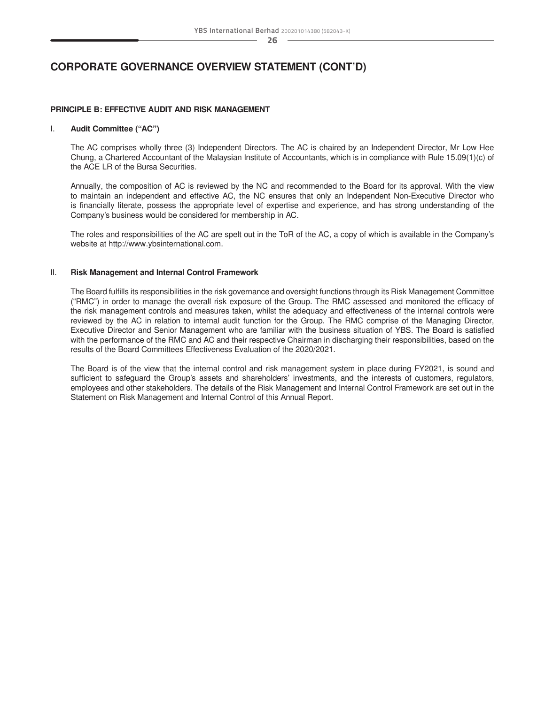# **CORPORATE GOVERNANCE OVERVIEW STATEMENT (CONT'D)**

#### **PRINCIPLE B: EFFECTIVE AUDIT AND RISK MANAGEMENT**

#### I. **Audit Committee ("AC")**

The AC comprises wholly three (3) Independent Directors. The AC is chaired by an Independent Director, Mr Low Hee Chung, a Chartered Accountant of the Malaysian Institute of Accountants, which is in compliance with Rule 15.09(1)(c) of the ACE LR of the Bursa Securities.

Annually, the composition of AC is reviewed by the NC and recommended to the Board for its approval. With the view to maintain an independent and effective AC, the NC ensures that only an Independent Non-Executive Director who is financially literate, possess the appropriate level of expertise and experience, and has strong understanding of the Company's business would be considered for membership in AC.

The roles and responsibilities of the AC are spelt out in the ToR of the AC, a copy of which is available in the Company's website at [http://www.ybsinternational.com.](http://www.ybsinternational.com/)

#### II. **Risk Management and Internal Control Framework**

The Board fulfills its responsibilities in the risk governance and oversight functions through its Risk Management Committee ("RMC") in order to manage the overall risk exposure of the Group. The RMC assessed and monitored the efficacy of the risk management controls and measures taken, whilst the adequacy and effectiveness of the internal controls were reviewed by the AC in relation to internal audit function for the Group. The RMC comprise of the Managing Director, Executive Director and Senior Management who are familiar with the business situation of YBS. The Board is satisfied with the performance of the RMC and AC and their respective Chairman in discharging their responsibilities, based on the results of the Board Committees Effectiveness Evaluation of the 2020/2021.

The Board is of the view that the internal control and risk management system in place during FY2021, is sound and sufficient to safeguard the Group's assets and shareholders' investments, and the interests of customers, regulators, employees and other stakeholders. The details of the Risk Management and Internal Control Framework are set out in the Statement on Risk Management and Internal Control of this Annual Report.